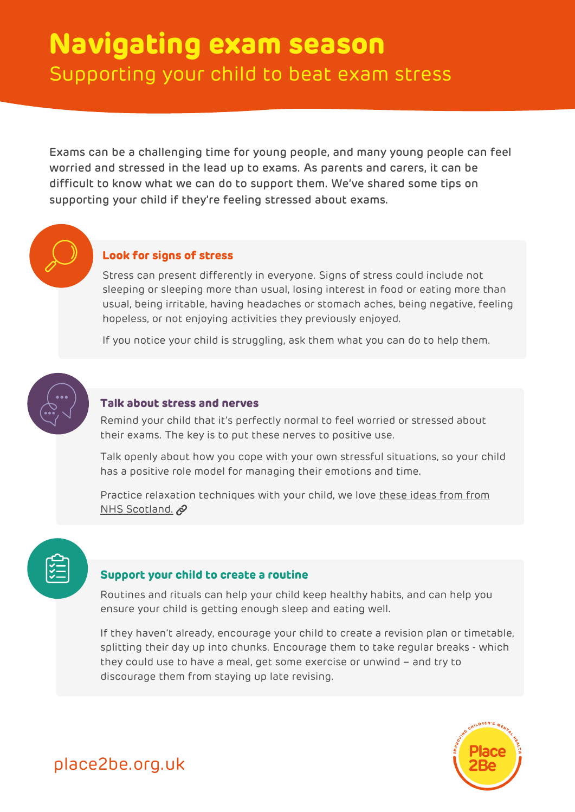# **Navigating exam season** Supporting your child to beat exam stress

Exams can be a challenging time for young people, and many young people can feel worried and stressed in the lead up to exams. As parents and carers, it can be difficult to know what we can do to support them. We've shared some tips on supporting your child if they're feeling stressed about exams.

### **Look for signs of stress**

Stress can present differently in everyone. Signs of stress could include not sleeping or sleeping more than usual, losing interest in food or eating more than usual, being irritable, having headaches or stomach aches, being negative, feeling hopeless, or not enjoying activities they previously enjoyed.

If you notice your child is struggling, ask them what you can do to help them.



### **Talk about stress and nerves**

Remind your child that it's perfectly normal to feel worried or stressed about their exams. The key is to put these nerves to positive use.

Talk openly about how you cope with your own stressful situations, so your child has a positive role model for managing their emotions and time.

Practice relaxation [techniques](https://www.nhsinform.scot/healthy-living/preventing-falls/fear-and-anxiety-about-falling/relaxation-techniques) with your child, we love these ideas from from NHS Scotland.

### **Support your child to create a routine**

Routines and rituals can help your child keep healthy habits, and can help you ensure your child is getting enough sleep and eating well.

If they haven't already, encourage your child to create a revision plan or timetable, splitting their day up into chunks. Encourage them to take regular breaks - which they could use to have a meal, get some exercise or unwind – and try to discourage them from staying up late revising.



## place2be.org.uk